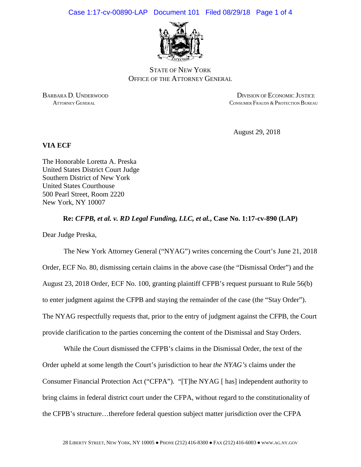

STATE OF NEW YORK OFFICE OF THE ATTORNEY GENERAL

BARBARA D. UNDERWOOD DIVISION OF ECONOMIC JUSTICE ATTORNEY GENERAL CONSUMER FRAUDS & PROTECTION BUREAU

August 29, 2018

## **VIA ECF**

The Honorable Loretta A. Preska United States District Court Judge Southern District of New York United States Courthouse 500 Pearl Street, Room 2220 New York, NY 10007

**Re:** *CFPB, et al. v. RD Legal Funding, LLC, et al.***, Case No. 1:17-cv-890 (LAP)**

Dear Judge Preska,

The New York Attorney General ("NYAG") writes concerning the Court's June 21, 2018 Order, ECF No. 80, dismissing certain claims in the above case (the "Dismissal Order") and the August 23, 2018 Order, ECF No. 100, granting plaintiff CFPB's request pursuant to Rule 56(b) to enter judgment against the CFPB and staying the remainder of the case (the "Stay Order"). The NYAG respectfully requests that, prior to the entry of judgment against the CFPB, the Court provide clarification to the parties concerning the content of the Dismissal and Stay Orders.

While the Court dismissed the CFPB's claims in the Dismissal Order, the text of the Order upheld at some length the Court's jurisdiction to hear *the NYAG's* claims under the Consumer Financial Protection Act ("CFPA"). "[T]he NYAG [ has] independent authority to bring claims in federal district court under the CFPA, without regard to the constitutionality of the CFPB's structure…therefore federal question subject matter jurisdiction over the CFPA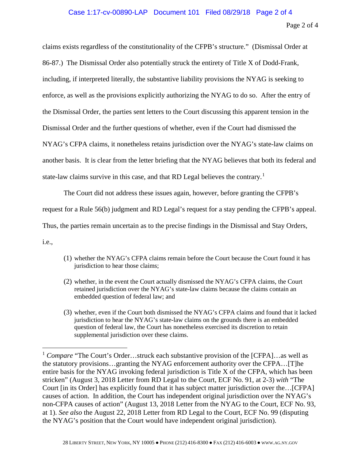## Case 1:17-cv-00890-LAP Document 101 Filed 08/29/18 Page 2 of 4

claims exists regardless of the constitutionality of the CFPB's structure." (Dismissal Order at 86-87.) The Dismissal Order also potentially struck the entirety of Title X of Dodd-Frank, including, if interpreted literally, the substantive liability provisions the NYAG is seeking to enforce, as well as the provisions explicitly authorizing the NYAG to do so. After the entry of the Dismissal Order, the parties sent letters to the Court discussing this apparent tension in the Dismissal Order and the further questions of whether, even if the Court had dismissed the NYAG's CFPA claims, it nonetheless retains jurisdiction over the NYAG's state-law claims on another basis. It is clear from the letter briefing that the NYAG believes that both its federal and state-law claims survive in this case, and that RD Legal believes the contrary.<sup>[1](#page-1-0)</sup>

The Court did not address these issues again, however, before granting the CFPB's request for a Rule 56(b) judgment and RD Legal's request for a stay pending the CFPB's appeal. Thus, the parties remain uncertain as to the precise findings in the Dismissal and Stay Orders, i.e.,

- (1) whether the NYAG's CFPA claims remain before the Court because the Court found it has jurisdiction to hear those claims;
- (2) whether, in the event the Court actually dismissed the NYAG's CFPA claims, the Court retained jurisdiction over the NYAG's state-law claims because the claims contain an embedded question of federal law; and
- (3) whether, even if the Court both dismissed the NYAG's CFPA claims and found that it lacked jurisdiction to hear the NYAG's state-law claims on the grounds there is an embedded question of federal law, the Court has nonetheless exercised its discretion to retain supplemental jurisdiction over these claims.

<span id="page-1-0"></span><sup>&</sup>lt;sup>1</sup> *Compare* "The Court's Order...struck each substantive provision of the [CFPA]...as well as the statutory provisions…granting the NYAG enforcement authority over the CFPA…[T]he entire basis for the NYAG invoking federal jurisdiction is Title X of the CFPA, which has been stricken" (August 3, 2018 Letter from RD Legal to the Court, ECF No. 91, at 2-3) *with* "The Court [in its Order] has explicitly found that it has subject matter jurisdiction over the…[CFPA] causes of action. In addition, the Court has independent original jurisdiction over the NYAG's non-CFPA causes of action" (August 13, 2018 Letter from the NYAG to the Court, ECF No. 93, at 1). *See also* the August 22, 2018 Letter from RD Legal to the Court, ECF No. 99 (disputing the NYAG's position that the Court would have independent original jurisdiction).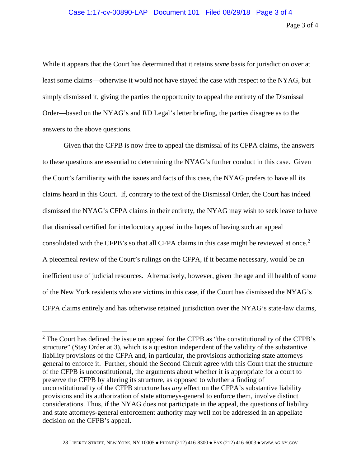While it appears that the Court has determined that it retains *some* basis for jurisdiction over at least some claims—otherwise it would not have stayed the case with respect to the NYAG, but simply dismissed it, giving the parties the opportunity to appeal the entirety of the Dismissal Order—based on the NYAG's and RD Legal's letter briefing, the parties disagree as to the answers to the above questions.

Given that the CFPB is now free to appeal the dismissal of its CFPA claims, the answers to these questions are essential to determining the NYAG's further conduct in this case. Given the Court's familiarity with the issues and facts of this case, the NYAG prefers to have all its claims heard in this Court. If, contrary to the text of the Dismissal Order, the Court has indeed dismissed the NYAG's CFPA claims in their entirety, the NYAG may wish to seek leave to have that dismissal certified for interlocutory appeal in the hopes of having such an appeal consolidated with the CFPB's so that all CFPA claims in this case might be reviewed at once.<sup>[2](#page-2-0)</sup> A piecemeal review of the Court's rulings on the CFPA, if it became necessary, would be an inefficient use of judicial resources. Alternatively, however, given the age and ill health of some of the New York residents who are victims in this case, if the Court has dismissed the NYAG's CFPA claims entirely and has otherwise retained jurisdiction over the NYAG's state-law claims,

<span id="page-2-0"></span><sup>&</sup>lt;sup>2</sup> The Court has defined the issue on appeal for the CFPB as "the constitutionality of the CFPB's structure" (Stay Order at 3), which is a question independent of the validity of the substantive liability provisions of the CFPA and, in particular, the provisions authorizing state attorneys general to enforce it. Further, should the Second Circuit agree with this Court that the structure of the CFPB is unconstitutional, the arguments about whether it is appropriate for a court to preserve the CFPB by altering its structure, as opposed to whether a finding of unconstitutionality of the CFPB structure has *any* effect on the CFPA's substantive liability provisions and its authorization of state attorneys-general to enforce them, involve distinct considerations. Thus, if the NYAG does not participate in the appeal, the questions of liability and state attorneys-general enforcement authority may well not be addressed in an appellate decision on the CFPB's appeal.